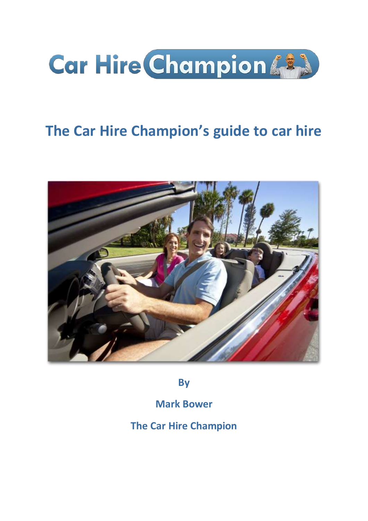

# **The Car Hire Champion's guide to car hire**



**By**

**Mark Bower**

**The Car Hire Champion**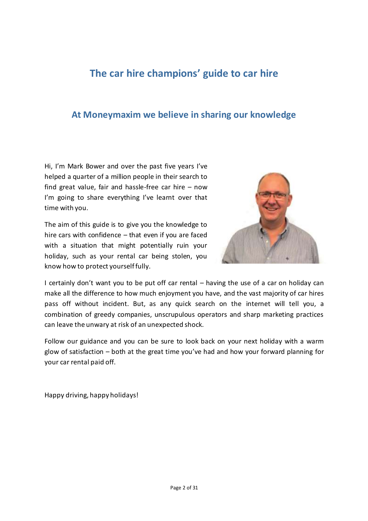# **The car hire champions' guide to car hire**

# **At Moneymaxim we believe in sharing our knowledge**

Hi, I'm Mark Bower and over the past five years I've helped a quarter of a million people in their search to find great value, fair and hassle-free car hire – now I'm going to share everything I've learnt over that time with you.

The aim of this guide is to give you the knowledge to hire cars with confidence – that even if you are faced with a situation that might potentially ruin your holiday, such as your rental car being stolen, you know how to protect yourself fully.



I certainly don't want you to be put off car rental – having the use of a car on holiday can make all the difference to how much enjoyment you have, and the vast majority of car hires pass off without incident. But, as any quick search on the internet will tell you, a combination of greedy companies, unscrupulous operators and sharp marketing practices can leave the unwary at risk of an unexpected shock.

Follow our guidance and you can be sure to look back on your next holiday with a warm glow of satisfaction – both at the great time you've had and how your forward planning for your car rental paid off.

Happy driving, happy holidays!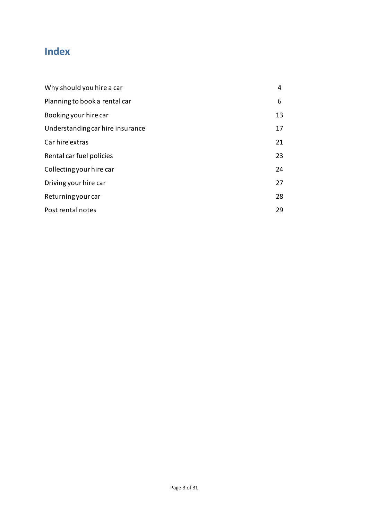# **Index**

| Why should you hire a car        | 4  |
|----------------------------------|----|
| Planning to book a rental car    | 6  |
| Booking your hire car            | 13 |
| Understanding car hire insurance | 17 |
| Car hire extras                  | 21 |
| Rental car fuel policies         | 23 |
| Collecting your hire car         | 24 |
| Driving your hire car            | 27 |
| Returning your car               | 28 |
| Post rental notes                | 29 |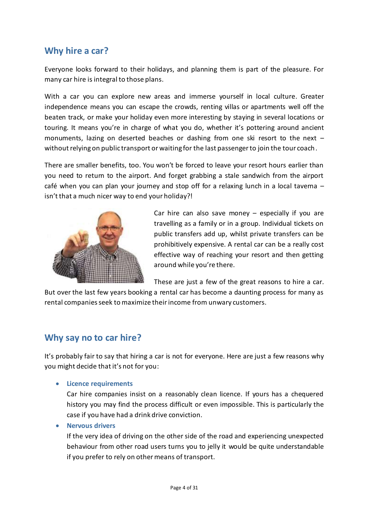# **Why hire a car?**

Everyone looks forward to their holidays, and planning them is part of the pleasure. For many car hire is integral to those plans.

With a car you can explore new areas and immerse yourself in local culture. Greater independence means you can escape the crowds, renting villas or apartments well off the beaten track, or make your holiday even more interesting by staying in several locations or touring. It means you're in charge of what you do, whether it's pottering around ancient monuments, lazing on deserted beaches or dashing from one ski resort to the next – without relying on public transport or waiting for the last passenger to join the tour coach.

There are smaller benefits, too. You won't be forced to leave your resort hours earlier than you need to return to the airport. And forget grabbing a stale sandwich from the airport café when you can plan your journey and stop off for a relaxing lunch in a local taverna isn't that a much nicer way to end your holiday?!



Car hire can also save money  $-$  especially if you are travelling as a family or in a group. Individual tickets on public transfers add up, whilst private transfers can be prohibitively expensive. A rental car can be a really cost effective way of reaching your resort and then getting around while you're there.

These are just a few of the great reasons to hire a car.

But over the last few years booking a rental car has become a daunting process for many as rental companies seek to maximize theirincome from unwary customers.

# **Why say no to car hire?**

It's probably fair to say that hiring a car is not for everyone. Here are just a few reasons why you might decide that it's not for you:

**Licence requirements**

Car hire companies insist on a reasonably clean licence. If yours has a chequered history you may find the process difficult or even impossible. This is particularly the case if you have had a drink drive conviction.

**Nervous drivers**

If the very idea of driving on the other side of the road and experiencing unexpected behaviour from other road users turns you to jelly it would be quite understandable if you prefer to rely on other means of transport.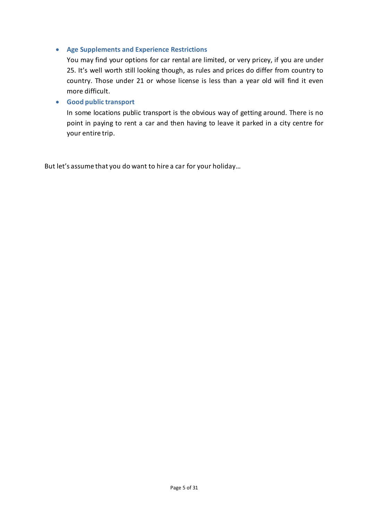#### **Age Supplements and Experience Restrictions**

You may find your options for car rental are limited, or very pricey, if you are under 25. It's well worth still looking though, as rules and prices do differ from country to country. Those under 21 or whose license is less than a year old will find it even more difficult.

#### **Good public transport**

In some locations public transport is the obvious way of getting around. There is no point in paying to rent a car and then having to leave it parked in a city centre for your entire trip.

But let's assume that you do want to hire a car for your holiday…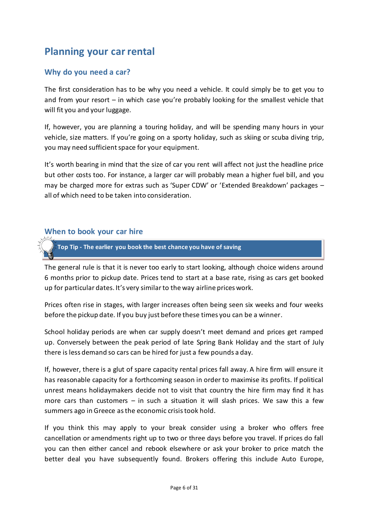# **Planning your car rental**

# **Why do you need a car?**

The first consideration has to be why you need a vehicle. It could simply be to get you to and from your resort – in which case you're probably looking for the smallest vehicle that will fit you and your luggage.

If, however, you are planning a touring holiday, and will be spending many hours in your vehicle, size matters. If you're going on a sporty holiday, such as skiing or scuba diving trip, you may need sufficient space for your equipment.

It's worth bearing in mind that the size of car you rent will affect not just the headline price but other costs too. For instance, a larger car will probably mean a higher fuel bill, and you may be charged more for extras such as 'Super CDW' or 'Extended Breakdown' packages – all of which need to be taken into consideration.

#### **When to book your car hire**

**Top Tip - The earlier you book the best chance you have of saving**

The general rule is that it is never too early to start looking, although choice widens around 6 months prior to pickup date. Prices tend to start at a base rate, rising as cars get booked up for particular dates. It's very similar to the way airline prices work.

Prices often rise in stages, with larger increases often being seen six weeks and four weeks before the pickup date. If you buy just before these times you can be a winner.

School holiday periods are when car supply doesn't meet demand and prices get ramped up. Conversely between the peak period of late Spring Bank Holiday and the start of July there is less demand so cars can be hired for just a few pounds a day.

If, however, there is a glut of spare capacity rental prices fall away. A hire firm will ensure it has reasonable capacity for a forthcoming season in order to maximise its profits. If political unrest means holidaymakers decide not to visit that country the hire firm may find it has more cars than customers – in such a situation it will slash prices. We saw this a few summers ago in Greece as the economic crisis took hold.

If you think this may apply to your break consider using a broker who offers free cancellation or amendments right up to two or three days before you travel. If prices do fall you can then either cancel and rebook elsewhere or ask your broker to price match the better deal you have subsequently found. Brokers offering this include Auto Europe,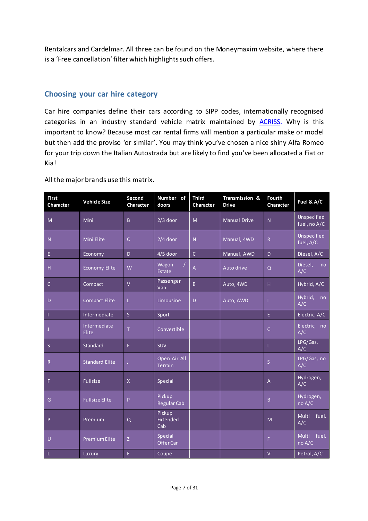Rentalcars and Cardelmar. All three can be found on the Moneymaxim website, where there is a 'Free cancellation' filter which highlights such offers.

### **Choosing your car hire category**

Car hire companies define their cars according to SIPP codes, internationally recognised categories in an industry standard vehicle matrix maintained by **ACRISS**. Why is this important to know? Because most car rental firms will mention a particular make or model but then add the proviso 'or similar'. You may think you've chosen a nice shiny Alfa Romeo for your trip down the Italian Autostrada but are likely to find you've been allocated a Fiat or Kia!

| <b>First</b><br>Character | <b>Vehicle Size</b>   | Second<br>Character     | Number of<br>doors             | <b>Third</b><br>Character | Transmission &<br><b>Drive</b> | <b>Fourth</b><br>Character | Fuel & A/C                  |
|---------------------------|-----------------------|-------------------------|--------------------------------|---------------------------|--------------------------------|----------------------------|-----------------------------|
| M                         | Mini                  | B                       | $2/3$ door                     | M                         | <b>Manual Drive</b>            | N                          | Unspecified<br>fuel, no A/C |
| ${\sf N}$                 | <b>Mini Elite</b>     | $\mathsf{C}$            | $2/4$ door                     | $\overline{N}$            | Manual, 4WD                    | $\mathsf{R}$               | Unspecified<br>fuel, A/C    |
| E.                        | Economy               | D                       | $4/5$ door                     | $\mathsf{C}$              | Manual, AWD                    | D                          | Diesel, A/C                 |
| H                         | <b>Economy Elite</b>  | W                       | Wagon<br>Estate                | $\overline{A}$            | Auto drive                     | Q                          | Diesel,<br>no<br>A/C        |
| $\mathsf{C}$              | Compact               | $\mathsf{V}$            | Passenger<br>Van               | B                         | Auto, 4WD                      | H                          | Hybrid, A/C                 |
| D                         | <b>Compact Elite</b>  | L.                      | Limousine                      | D                         | Auto, AWD                      |                            | Hybrid,<br>no<br>A/C        |
| $\mathbf{1}$              | Intermediate          | $\overline{\mathsf{S}}$ | Sport                          |                           |                                | $\mathsf{E}$               | Electric, A/C               |
| $\mathsf{J}$              | Intermediate<br>Elite | T                       | Convertible                    |                           |                                | C                          | Electric, no<br>A/C         |
| $\mathsf S$               | Standard              | F.                      | <b>SUV</b>                     |                           |                                | L                          | LPG/Gas,<br>A/C             |
| ${\sf R}$                 | <b>Standard Elite</b> | J                       | Open Air All<br><b>Terrain</b> |                           |                                | $\overline{\mathsf{S}}$    | LPG/Gas, no<br>A/C          |
| F                         | Fullsize              | $\mathsf{X}$            | Special                        |                           |                                | A                          | Hydrogen,<br>A/C            |
| G                         | <b>Fullsize Elite</b> | P                       | Pickup<br><b>Regular Cab</b>   |                           |                                | B.                         | Hydrogen,<br>no A/C         |
| P                         | Premium               | Q                       | Pickup<br>Extended<br>Cab      |                           |                                | M                          | Multi<br>fuel,<br>A/C       |
| $\cup$                    | <b>Premium Elite</b>  | Z                       | Special<br>Offer Car           |                           |                                | F.                         | Multi<br>fuel,<br>no A/C    |
| $\mathbf{L}$              | Luxury                | $\mathsf{E}$            | Coupe                          |                           |                                | $\vee$                     | Petrol, A/C                 |

All the major brands use this matrix.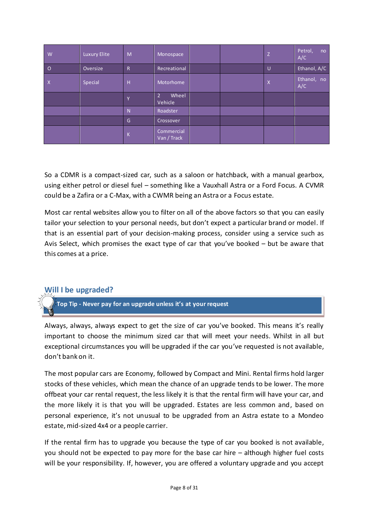| W              | Luxury Elite | M            | Monospace                          |  | Z | Petrol,<br>no<br>A/C |
|----------------|--------------|--------------|------------------------------------|--|---|----------------------|
| $\circ$        | Oversize     | $\mathsf{R}$ | Recreational                       |  | U | Ethanol, A/C         |
| $\overline{X}$ | Special      | H            | Motorhome                          |  | X | Ethanol, no<br>A/C   |
|                |              | Υ            | Wheel<br>2 <sup>1</sup><br>Vehicle |  |   |                      |
|                |              | N            | Roadster                           |  |   |                      |
|                |              | G            | Crossover                          |  |   |                      |
|                |              | K            | Commercial<br>Van / Track          |  |   |                      |

So a CDMR is a compact-sized car, such as a saloon or hatchback, with a manual gearbox, using either petrol or diesel fuel – something like a Vauxhall Astra or a Ford Focus. A CVMR could be a Zafira or a C-Max, with a CWMR being an Astra or a Focus estate.

Most car rental websites allow you to filter on all of the above factors so that you can easily tailor your selection to your personal needs, but don't expect a particular brand or model. If that is an essential part of your decision-making process, consider using a service such as Avis Select, which promises the exact type of car that you've booked – but be aware that this comes at a price.

# **Will I be upgraded?**

**Top Tip - Never pay for an upgrade unless it's at your request** 

Always, always, always expect to get the size of car you've booked. This means it's really important to choose the minimum sized car that will meet your needs. Whilst in all but exceptional circumstances you will be upgraded if the car you've requested is not available, don't bank on it.

The most popular cars are Economy, followed by Compact and Mini. Rental firms hold larger stocks of these vehicles, which mean the chance of an upgrade tends to be lower. The more offbeat your car rental request, the less likely it is that the rental firm will have your car, and the more likely it is that you will be upgraded. Estates are less common and, based on personal experience, it's not unusual to be upgraded from an Astra estate to a Mondeo estate, mid-sized 4x4 or a people carrier.

If the rental firm has to upgrade you because the type of car you booked is not available, you should not be expected to pay more for the base car hire – although higher fuel costs will be your responsibility. If, however, you are offered a voluntary upgrade and you accept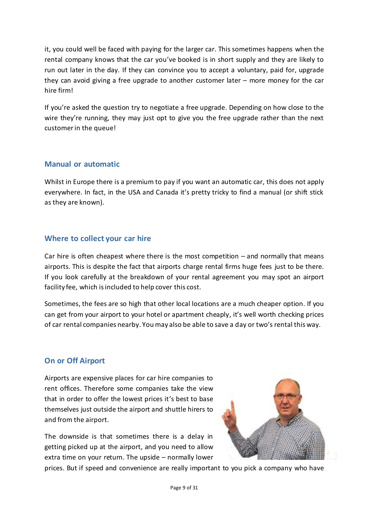it, you could well be faced with paying for the larger car. This sometimes happens when the rental company knows that the car you've booked is in short supply and they are likely to run out later in the day. If they can convince you to accept a voluntary, paid for, upgrade they can avoid giving a free upgrade to another customer later – more money for the car hire firm!

If you're asked the question try to negotiate a free upgrade. Depending on how close to the wire they're running, they may just opt to give you the free upgrade rather than the next customer in the queue!

# **Manual or automatic**

Whilst in Europe there is a premium to pay if you want an automatic car, this does not apply everywhere. In fact, in the USA and Canada it's pretty tricky to find a manual (or shift stick as they are known).

# **Where to collect your car hire**

Car hire is often cheapest where there is the most competition – and normally that means airports. This is despite the fact that airports charge rental firms huge fees just to be there. If you look carefully at the breakdown of your rental agreement you may spot an airport facility fee, which is included to help cover this cost.

Sometimes, the fees are so high that other local locations are a much cheaper option. If you can get from your airport to your hotel or apartment cheaply, it's well worth checking prices of car rental companies nearby. You may also be able to save a day or two's rental this way.

# **On or Off Airport**

Airports are expensive places for car hire companies to rent offices. Therefore some companies take the view that in order to offer the lowest prices it's best to base themselves just outside the airport and shuttle hirers to and from the airport.

The downside is that sometimes there is a delay in getting picked up at the airport, and you need to allow extra time on your return. The upside – normally lower



prices. But if speed and convenience are really important to you pick a company who have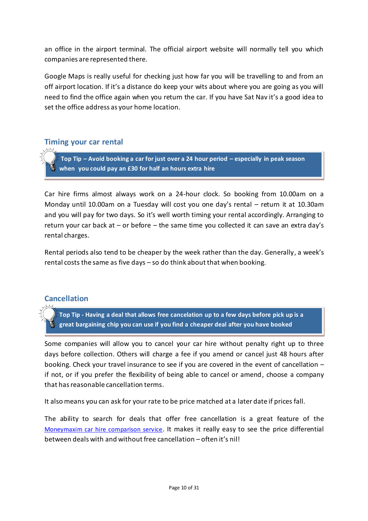an office in the airport terminal. The official airport website will normally tell you which companies are represented there.

Google Maps is really useful for checking just how far you will be travelling to and from an off airport location. If it's a distance do keep your wits about where you are going as you will need to find the office again when you return the car. If you have Sat Nav it's a good idea to set the office address as your home location.

### **Timing your car rental**

**Top Tip – Avoid booking a car for just over a 24 hour period – especially in peak season when you could pay an £30 for half an hours extra hire**

Car hire firms almost always work on a 24-hour clock. So booking from 10.00am on a Monday until 10.00am on a Tuesday will cost you one day's rental – return it at 10.30am and you will pay for two days. So it's well worth timing your rental accordingly. Arranging to return your car back at – or before – the same time you collected it can save an extra day's rental charges.

Rental periods also tend to be cheaper by the week rather than the day. Generally, a week's rental costs the same as five days – so do think about that when booking.

### **Cancellation**

**Top Tip - Having a deal that allows free cancelation up to a few days before pick up is a great bargaining chip you can use if you find a cheaper deal after you have booked**

Some companies will allow you to cancel your car hire without penalty right up to three days before collection. Others will charge a fee if you amend or cancel just 48 hours after booking. Check your travel insurance to see if you are covered in the event of cancellation – if not, or if you prefer the flexibility of being able to cancel or amend, choose a company that has reasonable cancellation terms.

It also means you can ask for your rate to be price matched at a later date if prices fall.

The ability to search for deals that offer free cancellation is a great feature of the [Moneymaxim car hire comparison service](http://www.moneymaxim.co.uk/car-hire). It makes it really easy to see the price differential between deals with and without free cancellation – often it's nil!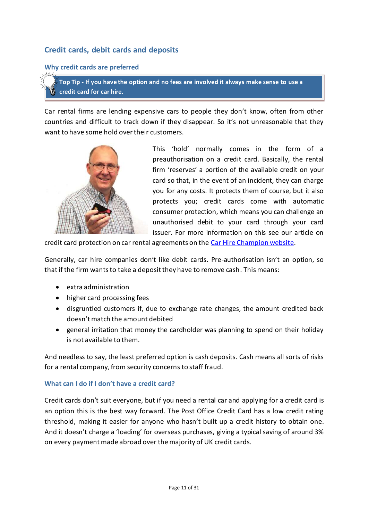# **Credit cards, debit cards and deposits**

#### **Why credit cards are preferred**

**Top Tip - If you have the option and no fees are involved it always make sense to use a credit card for car hire.**

Car rental firms are lending expensive cars to people they don't know, often from other countries and difficult to track down if they disappear. So it's not unreasonable that they want to have some hold over their customers.



This 'hold' normally comes in the form of a preauthorisation on a credit card. Basically, the rental firm 'reserves' a portion of the available credit on your card so that, in the event of an incident, they can charge you for any costs. It protects them of course, but it also protects you; credit cards come with automatic consumer protection, which means you can challenge an unauthorised debit to your card through your card issuer. For more information on this see our article on

credit card protection on car rental agreements on the [Car Hire Champion website.](http://www.carhirechampion.co.uk/car-hire-protection-when-booking-a-car-hire)

Generally, car hire companies don't like debit cards. Pre-authorisation isn't an option, so that if the firm wants to take a deposit they have to remove cash. This means:

- extra administration
- higher card processing fees
- disgruntled customers if, due to exchange rate changes, the amount credited back doesn't match the amount debited
- general irritation that money the cardholder was planning to spend on their holiday is not available to them.

And needless to say, the least preferred option is cash deposits. Cash means all sorts of risks for a rental company, from security concerns to staff fraud.

#### **What can I do if I don't have a credit card?**

Credit cards don't suit everyone, but if you need a rental car and applying for a credit card is an option this is the best way forward. The Post Office Credit Card has a low credit rating threshold, making it easier for anyone who hasn't built up a credit history to obtain one. And it doesn't charge a 'loading' for overseas purchases, giving a typical saving of around 3% on every payment made abroad over the majority of UK credit cards.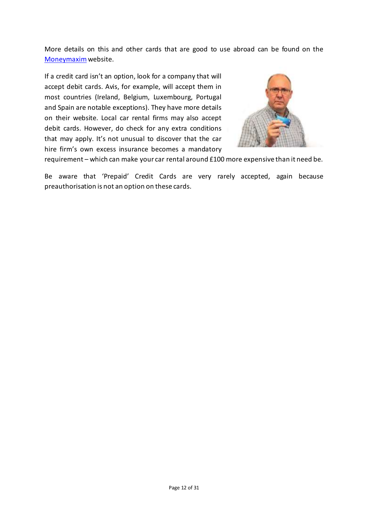More details on this and other cards that are good to use abroad can be found on the [Moneymaxim](http://www.moneymaxim.co.uk/credit-cards-good-for-use-abroad)website.

If a credit card isn't an option, look for a company that will accept debit cards. Avis, for example, will accept them in most countries (Ireland, Belgium, Luxembourg, Portugal and Spain are notable exceptions). They have more details on their website. Local car rental firms may also accept debit cards. However, do check for any extra conditions that may apply. It's not unusual to discover that the car hire firm's own excess insurance becomes a mandatory



requirement – which can make your car rental around £100 more expensive than it need be.

Be aware that 'Prepaid' Credit Cards are very rarely accepted, again because preauthorisation is not an option on these cards.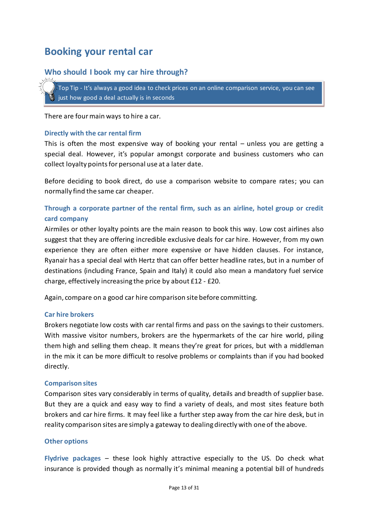# **Booking your rental car**

# **Who should I book my car hire through?**

Top Tip - It's always a good idea to check prices on an online comparison service, you can see just how good a deal actually is in seconds

There are four main ways to hire a car.

#### **Directly with the car rental firm**

This is often the most expensive way of booking your rental – unless you are getting a special deal. However, it's popular amongst corporate and business customers who can collect loyalty points for personal use at a later date.

Before deciding to book direct, do use a comparison website to compare rates; you can normally find the same car cheaper.

### **Through a corporate partner of the rental firm, such as an airline, hotel group or credit card company**

Airmiles or other loyalty points are the main reason to book this way. Low cost airlines also suggest that they are offering incredible exclusive deals for car hire. However, from my own experience they are often either more expensive or have hidden clauses. For instance, Ryanair has a special deal with Hertz that can offer better headline rates, but in a number of destinations (including France, Spain and Italy) it could also mean a mandatory fuel service charge, effectively increasing the price by about £12 - £20.

Again, compare on a good car hire comparison site before committing.

#### **Car hire brokers**

Brokers negotiate low costs with car rental firms and pass on the savings to their customers. With massive visitor numbers, brokers are the hypermarkets of the car hire world, piling them high and selling them cheap. It means they're great for prices, but with a middleman in the mix it can be more difficult to resolve problems or complaints than if you had booked directly.

#### **Comparison sites**

Comparison sites vary considerably in terms of quality, details and breadth of supplier base. But they are a quick and easy way to find a variety of deals, and most sites feature both brokers and car hire firms. It may feel like a further step away from the car hire desk, but in reality comparison sites are simply a gateway to dealing directly with one of the above.

#### **Other options**

**Flydrive packages** – these look highly attractive especially to the US. Do check what insurance is provided though as normally it's minimal meaning a potential bill of hundreds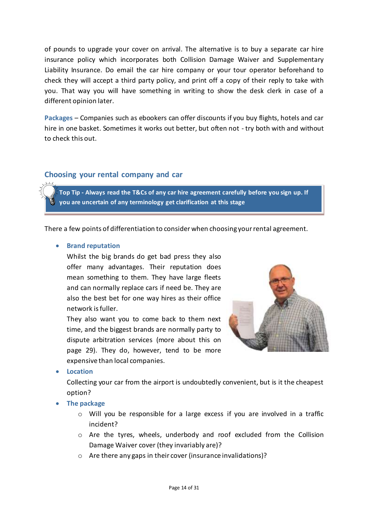of pounds to upgrade your cover on arrival. The alternative is to buy a separate car hire insurance policy which incorporates both Collision Damage Waiver and Supplementary Liability Insurance. Do email the car hire company or your tour operator beforehand to check they will accept a third party policy, and print off a copy of their reply to take with you. That way you will have something in writing to show the desk clerk in case of a different opinion later.

**Packages** – Companies such as ebookers can offer discounts if you buy flights, hotels and car hire in one basket. Sometimes it works out better, but often not - try both with and without to check this out.

### **Choosing your rental company and car**

**Top Tip - Always read the T&Cs of any car hire agreement carefully before you sign up. If you are uncertain of any terminology get clarification at this stage**

There a few points of differentiation to consider when choosing your rental agreement.

#### **•** Brand reputation

Whilst the big brands do get bad press they also offer many advantages. Their reputation does mean something to them. They have large fleets and can normally replace cars if need be. They are also the best bet for one way hires as their office network is fuller.

They also want you to come back to them next time, and the biggest brands are normally party to dispute arbitration services (more about this on page 29). They do, however, tend to be more expensive than local companies.



**Location** 

Collecting your car from the airport is undoubtedly convenient, but is it the cheapest option?

- **The package**
	- o Will you be responsible for a large excess if you are involved in a traffic incident?
	- o Are the tyres, wheels, underbody and roof excluded from the Collision Damage Waiver cover (they invariably are)?
	- o Are there any gaps in their cover (insurance invalidations)?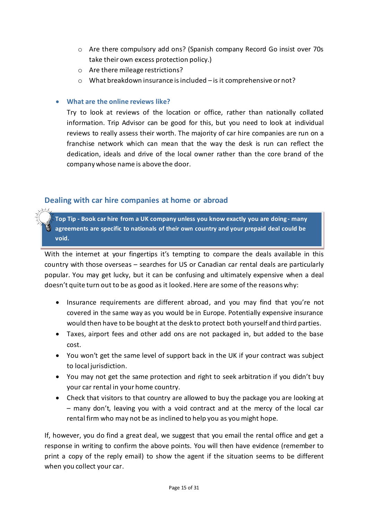- o Are there compulsory add ons? (Spanish company Record Go insist over 70s take their own excess protection policy.)
- o Are there mileage restrictions?
- o What breakdown insurance is included is it comprehensive or not?

### **What are the online reviews like?**

Try to look at reviews of the location or office, rather than nationally collated information. Trip Advisor can be good for this, but you need to look at individual reviews to really assess their worth. The majority of car hire companies are run on a franchise network which can mean that the way the desk is run can reflect the dedication, ideals and drive of the local owner rather than the core brand of the company whose name is above the door.

# **Dealing with car hire companies at home or abroad**

**Top Tip - Book car hire from a UK company unless you know exactly you are doing - many agreements are specific to nationals of their own country and your prepaid deal could be void.**

With the internet at your fingertips it's tempting to compare the deals available in this country with those overseas – searches for US or Canadian car rental deals are particularly popular. You may get lucky, but it can be confusing and ultimately expensive when a deal doesn't quite turn out to be as good as it looked. Here are some of the reasons why:

- Insurance requirements are different abroad, and you may find that you're not covered in the same way as you would be in Europe. Potentially expensive insurance would then have to be bought at the desk to protect both yourself and third parties.
- Taxes, airport fees and other add ons are not packaged in, but added to the base cost.
- You won't get the same level of support back in the UK if your contract was subject to local jurisdiction.
- You may not get the same protection and right to seek arbitration if you didn't buy your car rental in your home country.
- Check that visitors to that country are allowed to buy the package you are looking at – many don't, leaving you with a void contract and at the mercy of the local car rental firm who may not be as inclined to help you as you might hope.

If, however, you do find a great deal, we suggest that you email the rental office and get a response in writing to confirm the above points. You will then have evidence (remember to print a copy of the reply email) to show the agent if the situation seems to be different when you collect your car.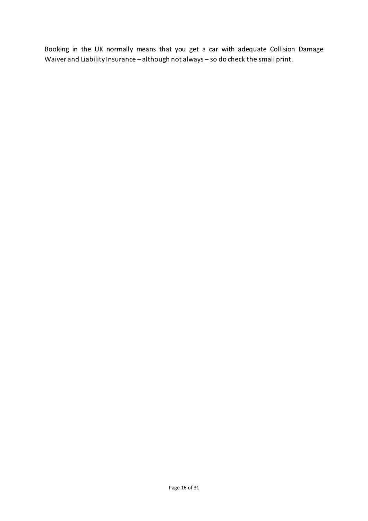Booking in the UK normally means that you get a car with adequate Collision Damage Waiver and Liability Insurance – although not always – so do check the small print.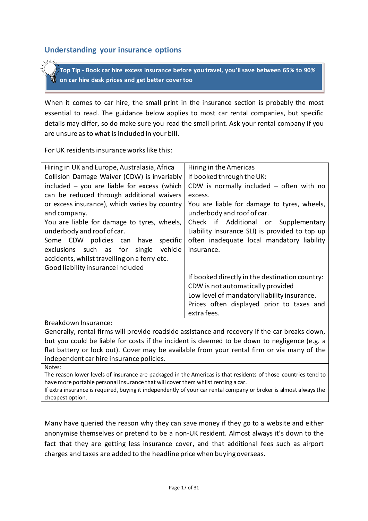#### **Understanding your insurance options**

**Top Tip - Book car hire excess insurance before you travel, you'll save between 65% to 90% on car hire desk prices and get better cover too**

When it comes to car hire, the small print in the insurance section is probably the most essential to read. The guidance below applies to most car rental companies, but specific details may differ, so do make sure you read the small print. Ask your rental company if you are unsure as to what is included in your bill.

For UK residents insurance works like this:

| Hiring in the Americas                         |
|------------------------------------------------|
| If booked through the UK:                      |
| CDW is normally included $-$ often with no     |
| excess.                                        |
| You are liable for damage to tyres, wheels,    |
| underbody and roof of car.                     |
| Check if Additional or Supplementary           |
| Liability Insurance SLI) is provided to top up |
| often inadequate local mandatory liability     |
| insurance.                                     |
|                                                |
|                                                |
| If booked directly in the destination country: |
| CDW is not automatically provided              |
| Low level of mandatory liability insurance.    |
| Prices often displayed prior to taxes and      |
| extra fees.                                    |
|                                                |
|                                                |

Generally, rental firms will provide roadside assistance and recovery if the car breaks down, but you could be liable for costs if the incident is deemed to be down to negligence (e.g. a flat battery or lock out). Cover may be available from your rental firm or via many of the independent car hire insurance policies.

Notes:

The reason lower levels of insurance are packaged in the Americas is that residents of those countries tend to have more portable personal insurance that will cover them whilst renting a car.

If extra insurance is required, buying it independently of your car rental company or broker is almost always the cheapest option.

Many have queried the reason why they can save money if they go to a website and either anonymise themselves or pretend to be a non-UK resident. Almost always it's down to the fact that they are getting less insurance cover, and that additional fees such as airport charges and taxes are added to the headline price when buying overseas.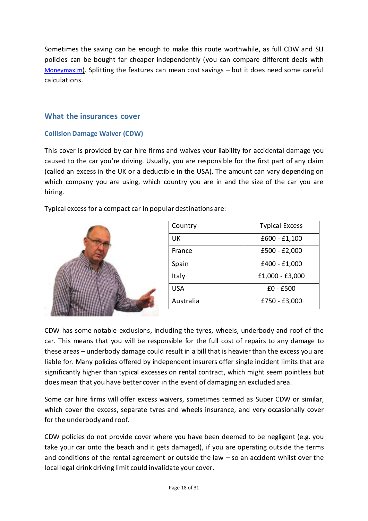Sometimes the saving can be enough to make this route worthwhile, as full CDW and SLI policies can be bought far cheaper independently (you can compare different deals with [Moneymaxim](http://www.moneymaxim.co.uk/compare-car-hire-excess-insurance)). Splitting the features can mean cost savings – but it does need some careful calculations.

### **What the insurances cover**

#### **Collision Damage Waiver (CDW)**

This cover is provided by car hire firms and waives your liability for accidental damage you caused to the car you're driving. Usually, you are responsible for the first part of any claim (called an excess in the UK or a deductible in the USA). The amount can vary depending on which company you are using, which country you are in and the size of the car you are hiring.

Typical excess for a compact car in popular destinations are:



| Country   | <b>Typical Excess</b> |
|-----------|-----------------------|
| UK        | $£600 - £1,100$       |
| France    | $£500 - £2,000$       |
| Spain     | £400 - £1,000         |
| Italy     | £1,000 - £3,000       |
| USA       | $£0 - £500$           |
| Australia | £750 - £3,000         |

CDW has some notable exclusions, including the tyres, wheels, underbody and roof of the car. This means that you will be responsible for the full cost of repairs to any damage to these areas – underbody damage could result in a bill that is heavier than the excess you are liable for. Many policies offered by independent insurers offer single incident limits that are significantly higher than typical excesses on rental contract, which might seem pointless but does mean that you have better cover in the event of damaging an excluded area.

Some car hire firms will offer excess waivers, sometimes termed as Super CDW or similar, which cover the excess, separate tyres and wheels insurance, and very occasionally cover for the underbody and roof.

CDW policies do not provide cover where you have been deemed to be negligent (e.g. you take your car onto the beach and it gets damaged), if you are operating outside the terms and conditions of the rental agreement or outside the law – so an accident whilst over the local legal drink driving limit could invalidate your cover.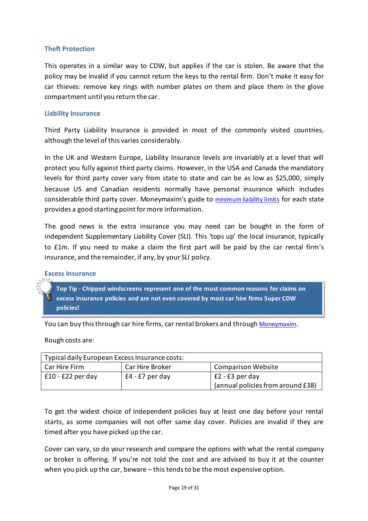#### **Theft Protection**

This operates in a similar way to CDW, but applies if the car is stolen. Be aware that the policy may be invalid if you cannot return the keys to the rental firm. Don't make it easy for car thieves: remove key rings with number plates on them and place them in the glove compartment until you return the car.

#### **Liability Insurance**

Third Party Liability Insurance is provided in most of the commonly visited countries, although the level of this varies considerably.

In the UK and Western Europe, Liability Insurance levels are invariably at a level that will protect you fully against third party claims. However, in the USA and Canada the mandatory levels for third party cover vary from state to state and can be as low as \$25,000, simply because US and Canadian residents normally have personal insurance which includes considerable third party cover. Moneymaxim's guide to [minimum liability limits](http://www.moneymaxim.co.uk/pages/faq-car-rental-insurance-usa-canada.htm) for each state provides a good starting point for more information.

The good news is the extra insurance you may need can be bought in the form of independent Supplementary Liability Cover (SLI). This 'tops up' the local insurance, typically to £1m. If you need to make a claim the first part will be paid by the car rental firm's insurance, and the remainder, if any, by your SLI policy.

#### **Excess Insurance**

**Top Tip - Chipped windscreens represent one of the most common reasons for claims on excess insurance policies and are not even covered by most car hire firms Super CDW policies!** 

You can buy this through car hire firms, car rental brokers and through [Moneymaxim](http://www.moneymaxim.co.uk/compare-car-hire-excess-insurance).

Rough costs are:

| Typical daily European Excess Insurance costs: |                 |                                   |  |  |
|------------------------------------------------|-----------------|-----------------------------------|--|--|
| Car Hire Firm                                  | Car Hire Broker | <b>Comparison Website</b>         |  |  |
| $£10 - £22$ per day                            | £4 - £7 per day | $E2 - E3$ per day                 |  |  |
|                                                |                 | (annual policies from around £38) |  |  |

To get the widest choice of independent policies buy at least one day before your rental starts, as some companies will not offer same day cover. Policies are invalid if they are timed after you have picked up the car.

Cover can vary, so do your research and compare the options with what the rental company or broker is offering. If you're not told the cost and are advised to buy it at the counter when you pick up the car, beware – this tends to be the most expensive option.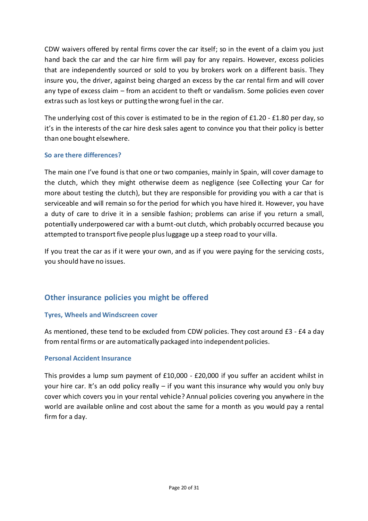CDW waivers offered by rental firms cover the car itself; so in the event of a claim you just hand back the car and the car hire firm will pay for any repairs. However, excess policies that are independently sourced or sold to you by brokers work on a different basis. They insure you, the driver, against being charged an excess by the car rental firm and will cover any type of excess claim – from an accident to theft or vandalism. Some policies even cover extras such as lost keys or putting the wrong fuel in the car.

The underlying cost of this cover is estimated to be in the region of £1.20 - £1.80 per day, so it's in the interests of the car hire desk sales agent to convince you that their policy is better than one bought elsewhere.

#### **So are there differences?**

The main one I've found is that one or two companies, mainly in Spain, will cover damage to the clutch, which they might otherwise deem as negligence (see Collecting your Car for more about testing the clutch), but they are responsible for providing you with a car that is serviceable and will remain so for the period for which you have hired it. However, you have a duty of care to drive it in a sensible fashion; problems can arise if you return a small, potentially underpowered car with a burnt-out clutch, which probably occurred because you attempted to transport five people plusluggage up a steep road to your villa.

If you treat the car as if it were your own, and as if you were paying for the servicing costs, you should have no issues.

# **Other insurance policies you might be offered**

#### **Tyres, Wheels and Windscreen cover**

As mentioned, these tend to be excluded from CDW policies. They cost around £3 - £4 a day from rental firms or are automatically packaged into independent policies.

#### **Personal Accident Insurance**

This provides a lump sum payment of £10,000 - £20,000 if you suffer an accident whilst in your hire car. It's an odd policy really – if you want this insurance why would you only buy cover which covers you in your rental vehicle? Annual policies covering you anywhere in the world are available online and cost about the same for a month as you would pay a rental firm for a day.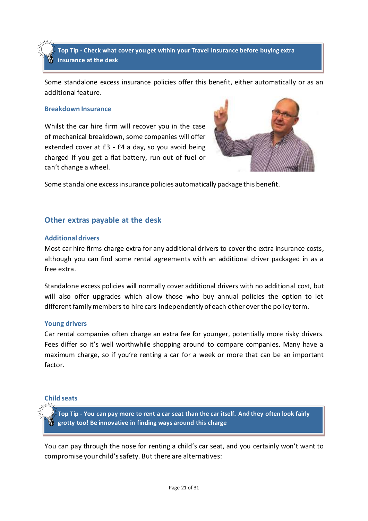**Top Tip - Check what cover you get within your Travel Insurance before buying extra insurance at the desk**

Some standalone excess insurance policies offer this benefit, either automatically or as an additional feature.

#### **Breakdown Insurance**

Whilst the car hire firm will recover you in the case of mechanical breakdown, some companies will offer extended cover at £3 - £4 a day, so you avoid being charged if you get a flat battery, run out of fuel or can't change a wheel.



Some standalone excess insurance policies automatically package this benefit.

#### **Other extras payable at the desk**

#### **Additional drivers**

Most car hire firms charge extra for any additional drivers to cover the extra insurance costs, although you can find some rental agreements with an additional driver packaged in as a free extra.

Standalone excess policies will normally cover additional drivers with no additional cost, but will also offer upgrades which allow those who buy annual policies the option to let different family members to hire cars independently of each other over the policy term.

#### **Young drivers**

Car rental companies often charge an extra fee for younger, potentially more risky drivers. Fees differ so it's well worthwhile shopping around to compare companies. Many have a maximum charge, so if you're renting a car for a week or more that can be an important factor.

#### **Child seats**

**Top Tip - You can pay more to rent a car seat than the car itself. And they often look fairly grotty too! Be innovative in finding ways around this charge**

You can pay through the nose for renting a child's car seat, and you certainly won't want to compromise your child's safety. But there are alternatives: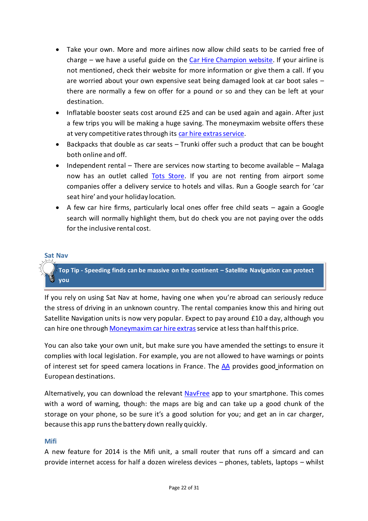- Take your own. More and more airlines now allow child seats to be carried free of charge – we have a useful guide on the [Car Hire Champion website.](http://www.carhirechampion.co.uk/taking-your-car-seat-on-an-airline) If your airline is not mentioned, check their website for more information or give them a call. If you are worried about your own expensive seat being damaged look at car boot sales – there are normally a few on offer for a pound or so and they can be left at your destination.
- Inflatable booster seats cost around £25 and can be used again and again. After just a few trips you will be making a huge saving. The moneymaxim website offers these at very competitive rates through its [car hire extras service.](http://www.moneymaxim.co.uk/carhireextras)
- Backpacks that double as car seats Trunki offer such a product that can be bought both online and off.
- $\bullet$  Independent rental There are services now starting to become available Malaga now has an outlet called [Tots Store.](http://www.totsstore.com/) If you are not renting from airport some companies offer a delivery service to hotels and villas. Run a Google search for 'car seat hire' and your holiday location.
- A few car hire firms, particularly local ones offer free child seats again a Google search will normally highlight them, but do check you are not paying over the odds for the inclusive rental cost.

#### **Sat Nav**

**Top Tip - Speeding finds can be massive on the continent – Satellite Navigation can protect you** 

If you rely on using Sat Nav at home, having one when you're abroad can seriously reduce the stress of driving in an unknown country. The rental companies know this and hiring out Satellite Navigation units is now very popular. Expect to pay around £10 a day, although you can hire one through Moneymaxim [car hire extras](http://www.moneymaxim.co.uk/carhireextras) service at less than half this price.

You can also take your own unit, but make sure you have amended the settings to ensure it complies with local legislation. For example, you are not allowed to have warnings or points of interest set for speed camera locations in France. The  $\overline{AA}$  provides good information on European destinations.

Alternatively, you can download the relevant [NavFree](http://www.navmii.com/gpsnavigation) app to your smartphone. This comes with a word of warning, though: the maps are big and can take up a good chunk of the storage on your phone, so be sure it's a good solution for you; and get an in car charger, because this app runs the battery down really quickly.

#### **Mifi**

A new feature for 2014 is the Mifi unit, a small router that runs off a simcard and can provide internet access for half a dozen wireless devices – phones, tablets, laptops – whilst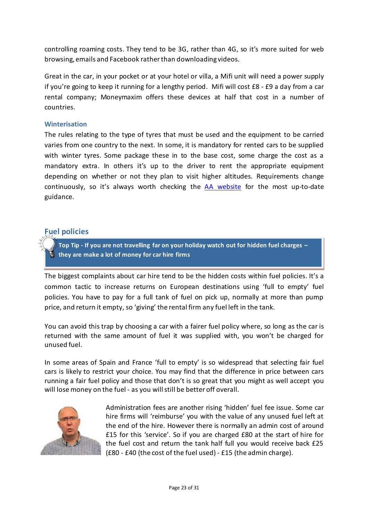controlling roaming costs. They tend to be 3G, rather than 4G, so it's more suited for web browsing, emails and Facebook rather than downloading videos.

Great in the car, in your pocket or at your hotel or villa, a Mifi unit will need a power supply if you're going to keep it running for a lengthy period. Mifi will cost £8 - £9 a day from a car rental company; Moneymaxim offers these devices at half that cost in a number of countries.

#### **Winterisation**

The rules relating to the type of tyres that must be used and the equipment to be carried varies from one country to the next. In some, it is mandatory for rented cars to be supplied with winter tyres. Some package these in to the base cost, some charge the cost as a mandatory extra. In others it's up to the driver to rent the appropriate equipment depending on whether or not they plan to visit higher altitudes. Requirements change continuously, so it's always worth checking the [AA website](http://www.theaa.com/motoring_advice/overseas/countrybycountry.html) for the most up-to-date guidance.

# **Fuel policies**

**Top Tip - If you are not travelling far on your holiday watch out for hidden fuel charges – they are make a lot of money for car hire firms**

The biggest complaints about car hire tend to be the hidden costs within fuel policies. It's a common tactic to increase returns on European destinations using 'full to empty' fuel policies. You have to pay for a full tank of fuel on pick up, normally at more than pump price, and return it empty, so 'giving' the rental firm any fuel left in the tank.

You can avoid this trap by choosing a car with a fairer fuel policy where, so long as the car is returned with the same amount of fuel it was supplied with, you won't be charged for unused fuel.

In some areas of Spain and France 'full to empty' is so widespread that selecting fair fuel cars is likely to restrict your choice. You may find that the difference in price between cars running a fair fuel policy and those that don't is so great that you might as well accept you will lose money on the fuel - as you will still be better off overall.



Administration fees are another rising 'hidden' fuel fee issue. Some car hire firms will 'reimburse' you with the value of any unused fuel left at the end of the hire. However there is normally an admin cost of around £15 for this 'service'. So if you are charged £80 at the start of hire for the fuel cost and return the tank half full you would receive back £25 (£80 - £40 (the cost of the fuel used) - £15 (the admin charge).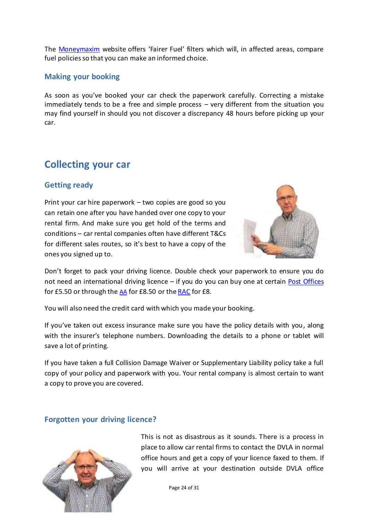The [Moneymaxim](http://www.moneymaxim.co.uk/car-hire) website offers 'Fairer Fuel' filters which will, in affected areas, compare fuel policies so that you can make an informed choice.

#### **Making your booking**

As soon as you've booked your car check the paperwork carefully. Correcting a mistake immediately tends to be a free and simple process – very different from the situation you may find yourself in should you not discover a discrepancy 48 hours before picking up your car.

# **Collecting your car**

### **Getting ready**

Print your car hire paperwork – two copies are good so you can retain one after you have handed over one copy to your rental firm. And make sure you get hold of the terms and conditions – car rental companies often have different T&Cs for different sales routes, so it's best to have a copy of the ones you signed up to.



Don't forget to pack your driving licence. Double check your paperwork to ensure you do not need an international driving licence – if you do you can buy one at certain [Post Offices](http://www.postoffice.co.uk/international-driving-permit?intcampaignid=Mndrivingintpermit) for £5.50 or through the [AA](http://www.theaa.com/getaway/idp/) for £8.50 or th[e RAC](http://www.rac.co.uk/driving-abroad/international-driving-permit/) for £8.

You will also need the credit card with which you made your booking.

If you've taken out excess insurance make sure you have the policy details with you, along with the insurer's telephone numbers. Downloading the details to a phone or tablet will save a lot of printing.

If you have taken a full Collision Damage Waiver or Supplementary Liability policy take a full copy of your policy and paperwork with you. Your rental company is almost certain to want a copy to prove you are covered.

#### **Forgotten your driving licence?**



This is not as disastrous as it sounds. There is a process in place to allow car rental firms to contact the DVLA in normal office hours and get a copy of your licence faxed to them. If you will arrive at your destination outside DVLA office

Page 24 of 31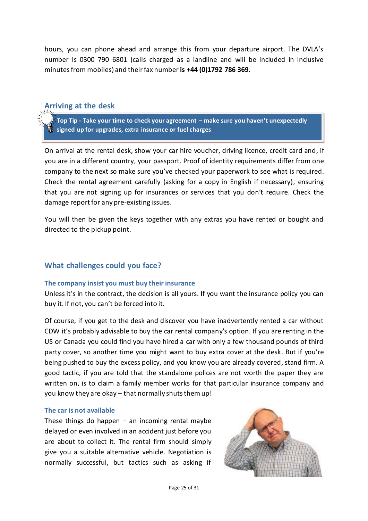hours, you can phone ahead and arrange this from your departure airport. The DVLA's number is 0300 790 6801 (calls charged as a landline and will be included in inclusive minutes from mobiles) and their fax number **is +44 (0)1792 786 369.** 

#### **Arriving at the desk**

**Top Tip - Take your time to check your agreement – make sure you haven't unexpectedly signed up for upgrades, extra insurance or fuel charges**

On arrival at the rental desk, show your car hire voucher, driving licence, credit card and, if you are in a different country, your passport. Proof of identity requirements differ from one company to the next so make sure you've checked your paperwork to see what is required. Check the rental agreement carefully (asking for a copy in English if necessary), ensuring that you are not signing up for insurances or services that you don't require. Check the damage report for any pre-existing issues.

You will then be given the keys together with any extras you have rented or bought and directed to the pickup point.

#### **What challenges could you face?**

#### **The company insist you must buy their insurance**

Unless it's in the contract, the decision is all yours. If you want the insurance policy you can buy it. If not, you can't be forced into it.

Of course, if you get to the desk and discover you have inadvertently rented a car without CDW it's probably advisable to buy the car rental company's option. If you are renting in the US or Canada you could find you have hired a car with only a few thousand pounds of third party cover, so another time you might want to buy extra cover at the desk. But if you're being pushed to buy the excess policy, and you know you are already covered, stand firm. A good tactic, if you are told that the standalone polices are not worth the paper they are written on, is to claim a family member works for that particular insurance company and you know they are okay – that normally shuts them up!

#### **The car is not available**

These things do happen  $-$  an incoming rental maybe delayed or even involved in an accident just before you are about to collect it. The rental firm should simply give you a suitable alternative vehicle. Negotiation is normally successful, but tactics such as asking if

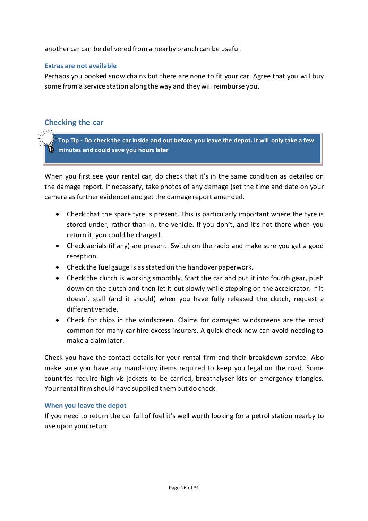another car can be delivered from a nearby branch can be useful.

#### **Extras are not available**

Perhaps you booked snow chains but there are none to fit your car. Agree that you will buy some from a service station along the way and they will reimburse you.

### **Checking the car**

**Top Tip - Do check the car inside and out before you leave the depot. It will only take a few minutes and could save you hours later**

When you first see your rental car, do check that it's in the same condition as detailed on the damage report. If necessary, take photos of any damage (set the time and date on your camera as further evidence) and get the damage report amended.

- Check that the spare tyre is present. This is particularly important where the tyre is stored under, rather than in, the vehicle. If you don't, and it's not there when you return it, you could be charged.
- Check aerials (if any) are present. Switch on the radio and make sure you get a good reception.
- Check the fuel gauge is as stated on the handover paperwork.
- Check the clutch is working smoothly. Start the car and put it into fourth gear, push down on the clutch and then let it out slowly while stepping on the accelerator. If it doesn't stall (and it should) when you have fully released the clutch, request a different vehicle.
- Check for chips in the windscreen. Claims for damaged windscreens are the most common for many car hire excess insurers. A quick check now can avoid needing to make a claim later.

Check you have the contact details for your rental firm and their breakdown service. Also make sure you have any mandatory items required to keep you legal on the road. Some countries require high-vis jackets to be carried, breathalyser kits or emergency triangles. Your rental firm should have supplied them but do check.

#### **When you leave the depot**

If you need to return the car full of fuel it's well worth looking for a petrol station nearby to use upon your return.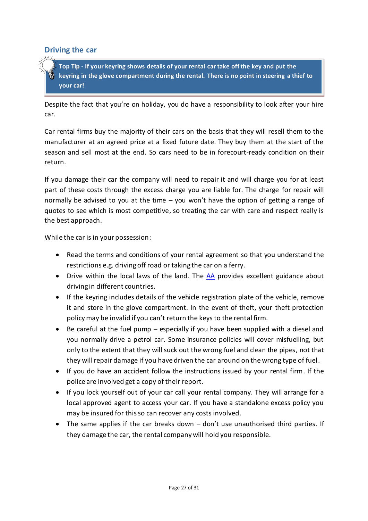#### **Driving the car**

**Top Tip - If your keyring shows details of your rental car take off the key and put the keyring in the glove compartment during the rental. There is no point in steering a thief to your car!** 

Despite the fact that you're on holiday, you do have a responsibility to look after your hire car.

Car rental firms buy the majority of their cars on the basis that they will resell them to the manufacturer at an agreed price at a fixed future date. They buy them at the start of the season and sell most at the end. So cars need to be in forecourt-ready condition on their return.

If you damage their car the company will need to repair it and will charge you for at least part of these costs through the excess charge you are liable for. The charge for repair will normally be advised to you at the time – you won't have the option of getting a range of quotes to see which is most competitive, so treating the car with care and respect really is the best approach.

While the car is in your possession:

- Read the terms and conditions of your rental agreement so that you understand the restrictions e.g. driving off road or taking the car on a ferry.
- Drive within the local laws of the land. The [AA](http://www.theaa.com/motoring_advice/overseas/countrybycountry.html) provides excellent guidance about driving in different countries.
- If the keyring includes details of the vehicle registration plate of the vehicle, remove it and store in the glove compartment. In the event of theft, your theft protection policymay be invalid if you can't return the keys to the rental firm.
- Be careful at the fuel pump especially if you have been supplied with a diesel and you normally drive a petrol car. Some insurance policies will cover misfuelling, but only to the extent that they will suck out the wrong fuel and clean the pipes, not that they will repair damage if you have driven the car around on the wrong type of fuel.
- If you do have an accident follow the instructions issued by your rental firm. If the police are involved get a copy of their report.
- If you lock yourself out of your car call your rental company. They will arrange for a local approved agent to access your car. If you have a standalone excess policy you may be insured for this so can recover any costs involved.
- The same applies if the car breaks down don't use unauthorised third parties. If they damage the car, the rental company will hold you responsible.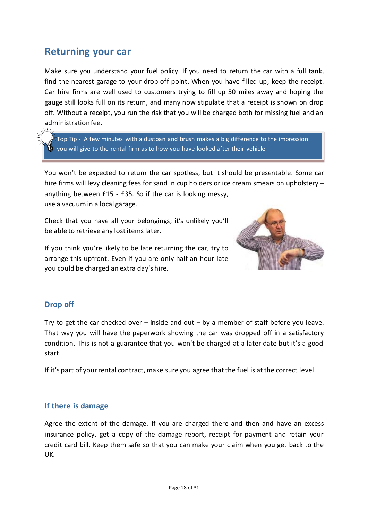# **Returning your car**

Make sure you understand your fuel policy. If you need to return the car with a full tank, find the nearest garage to your drop off point. When you have filled up, keep the receipt. Car hire firms are well used to customers trying to fill up 50 miles away and hoping the gauge still looks full on its return, and many now stipulate that a receipt is shown on drop off. Without a receipt, you run the risk that you will be charged both for missing fuel and an administration fee.

Top Tip - A few minutes with a dustpan and brush makes a big difference to the impression you will give to the rental firm as to how you have looked after their vehicle

You won't be expected to return the car spotless, but it should be presentable. Some car hire firms will levy cleaning fees for sand in cup holders or ice cream smears on upholstery – anything between £15 - £35. So if the car is looking messy, use a vacuum in a local garage.

Check that you have all your belongings; it's unlikely you'll be able to retrieve any lost items later.

If you think you're likely to be late returning the car, try to arrange this upfront. Even if you are only half an hour late you could be charged an extra day's hire.



# **Drop off**

Try to get the car checked over – inside and out – by a member of staff before you leave. That way you will have the paperwork showing the car was dropped off in a satisfactory condition. This is not a guarantee that you won't be charged at a later date but it's a good start.

If it's part of your rental contract, make sure you agree that the fuel is at the correct level.

#### **If there is damage**

Agree the extent of the damage. If you are charged there and then and have an excess insurance policy, get a copy of the damage report, receipt for payment and retain your credit card bill. Keep them safe so that you can make your claim when you get back to the UK.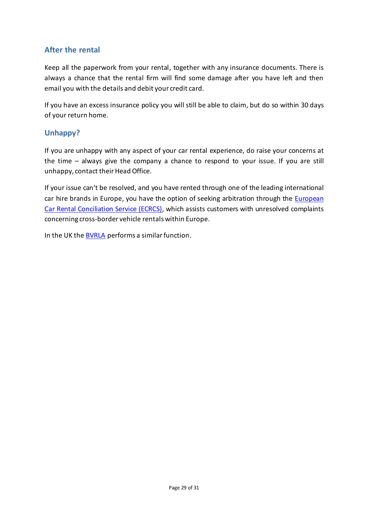# **After the rental**

Keep all the paperwork from your rental, together with any insurance documents. There is always a chance that the rental firm will find some damage after you have left and then email you with the details and debit your credit card.

If you have an excess insurance policy you will still be able to claim, but do so within 30 days of your return home.

# **Unhappy?**

If you are unhappy with any aspect of your car rental experience, do raise your concerns at the time – always give the company a chance to respond to your issue. If you are still unhappy, contact their Head Office.

If your issue can't be resolved, and you have rented through one of the leading international car hire brands in Europe, you have the option of seeking arbitration through the *European* [Car Rental Conciliation Service \(ECRCS\),](http://www.ecrcs.eu/) which assists customers with unresolved complaints concerning cross-border vehicle rentals within Europe.

In the UK the **BVRLA** performs a similar function.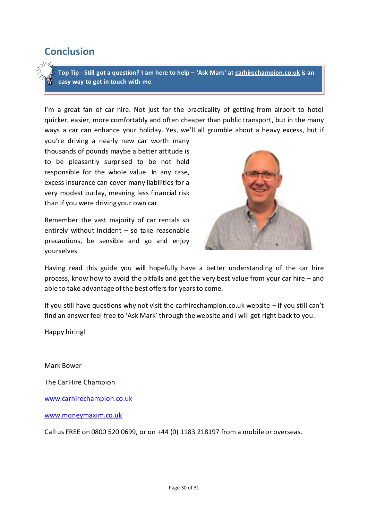# **Conclusion**

**Top Tip - Still got a question? I am here to help – 'Ask Mark' at [carhirechampion.co.uk](http://www.carhirechampion.co.uk/) is an easy way to get in touch with me**

I'm a great fan of car hire. Not just for the practicality of getting from airport to hotel quicker, easier, more comfortably and often cheaper than public transport, but in the many ways a car can enhance your holiday. Yes, we'll all grumble about a heavy excess, but if

you're driving a nearly new car worth many thousands of pounds maybe a better attitude is to be pleasantly surprised to be not held responsible for the whole value. In any case, excess insurance can cover many liabilities for a very modest outlay, meaning less financial risk than if you were driving your own car.

Remember the vast majority of car rentals so entirely without incident – so take reasonable precautions, be sensible and go and enjoy yourselves.



Having read this guide you will hopefully have a better understanding of the car hire process, know how to avoid the pitfalls and get the very best value from your car hire – and able to take advantage of the best offers for years to come.

If you still have questions why not visit the carhirechampion.co.uk website – if you still can't find an answer feel free to 'Ask Mark' through the website and I will get right back to you.

Happy hiring!

Mark Bower

The Car Hire Champion

[www.carhirechampion.co.uk](http://www.carhirechampion.co.uk/)

[www.moneymaxim.co.uk](http://www.moneymaxim.co.uk/)

Call us FREE on 0800 520 0699, or on +44 (0) 1183 218197 from a mobile or overseas.